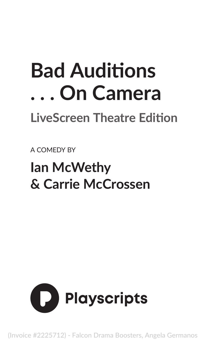# **Bad Auditions . . . On Camera**

### **LiveScreen Theatre Edition**

A COMEDY BY

## **Ian McWethy & Carrie McCrossen**



(Invoice #2225712) - Falcon Drama Boosters, Angela Germanos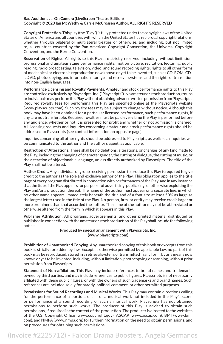#### **Bad Auditions . . . On Camera (LiveScreen Theatre Edition) Copyright © 2020 Ian McWethy & Carrie McCrossen Author. ALL RIGHTS RESERVED**

**Copyright Protection.** This play (the "Play") is fully protected under the copyright laws of the United States of America and all countries with which the United States has reciprocal copyright relations, whether through bilateral or multilateral treaties or otherwise, and including, but not limited to, all countries covered by the Pan-American Copyright Convention, the Universal Copyright Convention, and the Berne Convention.

**Reservation of Rights.** All rights to this Play are strictly reserved, including, without limitation, professional and amateur stage performance rights; motion picture, recitation, lecturing, public reading, radio broadcasting, television, video, and sound recording rights; rights to all other forms of mechanical or electronic reproduction now known or yet to be invented, such as CD-ROM, CD-I, DVD, photocopying, and information storage and retrieval systems; and the rights of translation into non-English languages.

**Performance Licensing and Royalty Payments.** Amateur and stock performance rights to this Play are controlled exclusively by Playscripts, Inc. ("Playscripts"). No amateur or stock production groups or individuals may perform this Play without obtaining advance written permission from Playscripts. Required royalty fees for performing this Play are specified online at the Playscripts website (www.playscripts.com). Such royalty fees may be subject to change without notice. Although this book may have been obtained for a particular licensed performance, such performance rights, if any, are not transferable. Required royalties must be paid every time the Play is performed before any audience, whether or not it is presented for profit and whether or not admission is charged. All licensing requests and inquiries concerning amateur and stock performance rights should be addressed to Playscripts (see contact information on opposite page).

Inquiries concerning all other rights should be addressed to Playscripts, as well; such inquiries will be communicated to the author and the author's agent, as applicable.

**Restriction of Alterations.** There shall be no deletions, alterations, or changes of any kind made to the Play, including the changing of character gender, the cutting of dialogue, the cutting of music, or the alteration of objectionable language, unless directly authorized by Playscripts. The title of the Play shall not be altered.

**Author Credit.** Any individual or group receiving permission to produce this Play is required to give credit to the author as the sole and exclusive author of the Play. This obligation applies to the title page of every program distributed in connection with performances of the Play, and in any instance that the title of the Play appears for purposes of advertising, publicizing, or otherwise exploiting the Play and/or a production thereof. The name of the author must appear on a separate line, in which no other name appears, immediately beneath the title and of a font size at least 50% as large as the largest letter used in the title of the Play. No person, firm, or entity may receive credit larger or more prominent than that accorded the author. The name of the author may not be abbreviated or otherwise altered from the form in which it appears in this Play.

**Publisher Attribution.** All programs, advertisements, and other printed material distributed or published in connection with the amateur or stock production of the Play shall include the following notice:

#### **Produced by special arrangement with Playscripts, Inc. (www.playscripts.com)**

**Prohibition of Unauthorized Copying.** Any unauthorized copying of this book or excerpts from this book is strictly forbidden by law. Except as otherwise permitted by applicable law, no part of this book may be reproduced, stored in a retrieval system, or transmitted in any form, by any means now known or yet to be invented, including, without limitation, photocopying or scanning, without prior permission from Playscripts.

**Statement of Non-affiliation.** This Play may include references to brand names and trademarks owned by third parties, and may include references to public figures. Playscripts is not necessarily affiliated with these public figures, or with the owners of such trademarks and brand names. Such references are included solely for parody, political comment, or other permitted purposes.

**Permissions for Sound Recordings and Musical Works.** This Play may contain directions calling for the performance of a portion, or all, of a musical work not included in the Play's score, or performance of a sound recording of such a musical work. Playscripts has not obtained permissions to perform such works. The producer of this Play is advised to obtain such permissions, if required in the context of the production. The producer is directed to the websites of the U.S. Copyright Office (www.copyright.gov), ASCAP (www.ascap.com), BMI (www.bmi. com), and NMPA (www.nmpa.org) for further information on the need to obtain permissions, and on procedures for obtaining such permissions.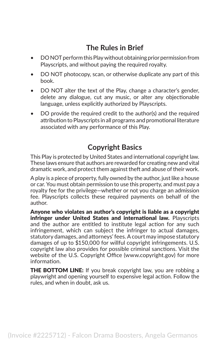#### **The Rules in Brief**

- DO NOT perform this Play without obtaining prior permission from Playscripts, and without paying the required royalty.
- DO NOT photocopy, scan, or otherwise duplicate any part of this book.
- DO NOT alter the text of the Play, change a character's gender, delete any dialogue, cut any music, or alter any objectionable language, unless explicitly authorized by Playscripts.
- DO provide the required credit to the author(s) and the required attribution to Playscripts in all programs and promotional literature associated with any performance of this Play.

#### **Copyright Basics**

This Play is protected by United States and international copyright law. These laws ensure that authors are rewarded for creating new and vital dramatic work, and protect them against theft and abuse of their work.

A play is a piece of property, fully owned by the author, just like a house or car. You must obtain permission to use this property, and must pay a royalty fee for the privilege—whether or not you charge an admission fee. Playscripts collects these required payments on behalf of the author.

Anyone who violates an author's copyright is liable as a copyright infringer under United States and international law. Playscripts and the author are entitled to institute legal action for any such infringement, which can subject the infringer to actual damages, statutory damages, and attorneys' fees. A court may impose statutory damages of up to \$150,000 for willful copyright infringements. U.S. copyright law also provides for possible criminal sanctions. Visit the website of the U.S. Copyright Office (www.copyright.gov) for more information.

THE BOTTOM LINE: If you break copyright law, you are robbing a playwright and opening yourself to expensive legal action. Follow the rules, and when in doubt, ask us.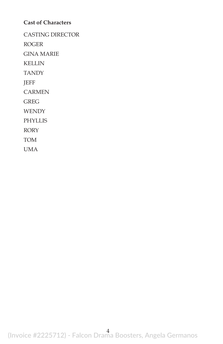#### **Cast of Characters**

CASTING DIRECTOR

ROGER

GINA MARIE

KELLIN

**TANDY** 

JEFF

CARMEN

GREG

**WENDY** 

PHYLLIS

RORY

TOM

UMA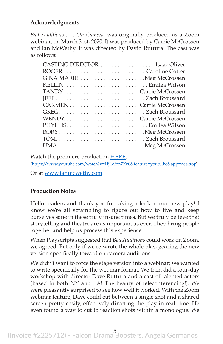#### **Acknowledgments**

*Bad Auditions . . . On Camera*, was originally produced as a Zoom webinar, on March 31st, 2020. It was produced by Carrie McCrossen and Ian McWethy. It was directed by David Ruttura. The cast was as follows:

| CASTING DIRECTOR  Isaac Oliver |  |
|--------------------------------|--|
|                                |  |
|                                |  |
|                                |  |
| TANDY Carrie McCrossen         |  |
|                                |  |
| CARMENCarrie McCrossen         |  |
|                                |  |
|                                |  |
|                                |  |
|                                |  |
|                                |  |
| UMA Meg McCrossen              |  |

Watch the premiere production **HERE**.

(https://www.youtube.com/watch?v=HjLofon7Xv0&feature=youtu.be&app=desktop)

Or at www.ianmcwethy.com.

#### **Production Notes**

Hello readers and thank you for taking a look at our new play! I know we're all scrambling to figure out how to live and keep ourselves sane in these truly insane times. But we truly believe that storytelling and theatre are as important as ever. They bring people together and help us process this experience.

When Playscripts suggested that *Bad Auditions* could work on Zoom, we agreed. But only if we re-wrote the whole play, gearing the new version specifically toward on-camera auditions.

We didn't want to force the stage version into a webinar; we wanted to write specifically for the webinar format. We then did a four-day workshop with director Dave Ruttura and a cast of talented actors (based in both NY and LA! The beauty of teleconferencing!). We were pleasantly surprised to see how well it worked. With the Zoom webinar feature, Dave could cut between a single shot and a shared screen pretty easily, effectively directing the play in real time. He even found a way to cut to reaction shots within a monologue. We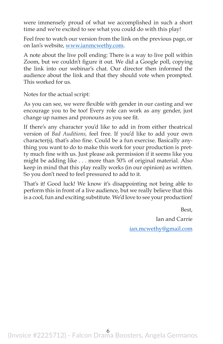were immensely proud of what we accomplished in such a short time and we're excited to see what you could do with this play!

Feel free to watch our version from the link on the previous page, or on Ian's website, www.ianmcwethy.com.

A note about the live poll ending: There is a way to live poll within Zoom, but we couldn't figure it out. We did a Google poll, copying the link into our webinar's chat. Our director then informed the audience about the link and that they should vote when prompted. This worked for us.

Notes for the actual script:

As you can see, we were flexible with gender in our casting and we encourage you to be too! Every role can work as any gender, just change up names and pronouns as you see fit.

If there's any character you'd like to add in from either theatrical version of *Bad Auditions,* feel free. If you'd like to add your own character(s), that's also fine. Could be a fun exercise. Basically anything you want to do to make this work for your production is pretty much fine with us. Just please ask permission if it seems like you might be adding like . . . more than 50% of original material. Also keep in mind that this play really works (in our opinion) as written. So you don't need to feel pressured to add to it.

That's it! Good luck! We know it's disappointing not being able to perform this in front of a live audience, but we really believe that this is a cool, fun and exciting substitute. We'd love to see your production!

> Best, Ian and Carrie ian.mcwethy@gmail.com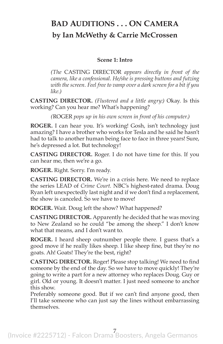### **Bad Auditions . . . On Camera by Ian McWethy & Carrie McCrossen**

#### **Scene 1: Intro**

*(The* CASTING DIRECTOR *appears directly in front of the camera, like a confessional. He/she is pressing buttons and futzing with the screen. Feel free to vamp over a dark screen for a bit if you like.)*

**CASTING DIRECTOR.** *(Flustered and a little angry:)* Okay. Is this working? Can you hear me? What's happening?

*(*ROGER *pops up in his own screen in front of his computer.)*

**ROGER.** I can hear you. It's working! Gosh, isn't technology just amazing? I have a brother who works for Tesla and he said he hasn't had to talk to another human being face to face in three years! Sure, he's depressed a lot. But technology!

**CASTING DIRECTOR.** Roger. I do not have time for this. If you can hear me, then we're a go.

**ROGER.** Right. Sorry. I'm ready.

**CASTING DIRECTOR.** We're in a crisis here. We need to replace the series LEAD of *Crime Court.* NBC's highest-rated drama. Doug Ryan left unexpectedly last night and if we don't find a replacement, the show is canceled. So we have to move!

**ROGER.** Wait. Doug left the show? What happened?

**CASTING DIRECTOR.** Apparently he decided that he was moving to New Zealand so he could "be among the sheep." I don't know what that means, and I don't want to.

**ROGER.** I heard sheep outnumber people there. I guess that's a good move if he really likes sheep. I like sheep fine, but they're no goats. Ah! Goats! They're the best, right?

**CASTING DIRECTOR.** Roger! Please stop talking! We need to find someone by the end of the day. So we have to move quickly! They're going to write a part for a new attorney who replaces Doug. Guy or girl. Old or young. It doesn't matter. I just need someone to anchor this show.

Preferably someone good. But if we can't find anyone good, then I'll take someone who can just say the lines without embarrassing themselves.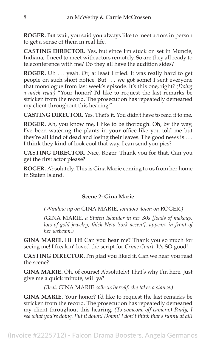**ROGER.** But wait, you said you always like to meet actors in person to get a sense of them in real life.

**CASTING DIRECTOR.** Yes, but since I'm stuck on set in Muncie, Indiana, I need to meet with actors remotely. So are they all ready to teleconference with me? Do they all have the audition sides?

**ROGER.** Uh . . . yeah. Or, at least I tried. It was really hard to get people on such short notice. But . . . we got some! I sent everyone that monologue from last week's episode. It's this one, right? *(Doing a quick read:)* "Your honor? I'd like to request the last remarks be stricken from the record. The prosecution has repeatedly demeaned my client throughout this hearing."

**CASTING DIRECTOR.** Yes. That's it. You didn't have to read it to me.

**ROGER.** Ah, you know me, I like to be thorough. Oh, by the way, I've been watering the plants in your office like you told me but they're all kind of dead and losing their leaves. The good news is . . . I think they kind of look cool that way. I can send you pics?

**CASTING DIRECTOR.** Nice, Roger. Thank you for that. Can you get the first actor please?

**ROGER.** Absolutely. This is Gina Marie coming to us from her home in Staten Island.

#### **Scene 2: Gina Marie**

*(Window up on* GINA MARIE*, window down on* ROGER*.)*

*(*GINA MARIE*, a Staten Islander in her 30s [loads of makeup,*  lots of gold jewelry, thick New York accent], appears in front of *her webcam.)*

**GINA MARIE.** Hi! Hi! Can you hear me? Thank you so much for seeing me! I freakin' loved the script for *Crime Court.* It's SO good!

**CASTING DIRECTOR.** I'm glad you liked it. Can we hear you read the scene?

**GINA MARIE.** Oh, of course! Absolutely! That's why I'm here. Just give me a quick minute, will ya?

*(Beat.* GINA MARIE *collects herself, she takes a stance.)*

**GINA MARIE.** Your honor? I'd like to request the last remarks be stricken from the record. The prosecution has repeatedly demeaned my client throughout this hearing. *(To someone off-camera:) Pauly, I see what you're doing. Put it down! Down! I don't think that's funny at all!*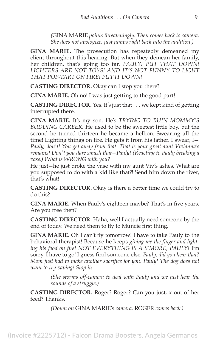*(*GINA MARIE *points threateningly. Then comes back to camera. She does not apologize, just jumps right back into the audition.)*

**GINA MARIE.** The prosecution has repeatedly demeaned my client throughout this hearing. But when they demean her family, her children, that's going too far. *PAULY! PUT THAT DOWN! LIGHTERS ARE NOT TOYS! AND IT'S NOT FUNNY TO LIGHT THAT POP-TART ON FIRE! PUT IT DOWN!*

**CASTING DIRECTOR.** Okay can I stop you there?

**GINA MARIE.** Oh no! I was just getting to the good part!

**CASTING DIRECTOR.** Yes. It's just that . . . we kept kind of getting interrupted there.

**GINA MARIE.** It's my son. He's *TRYING TO RUIN MOMMY'S BUDDING CAREER.* He used to be the sweetest little boy, but the second he turned thirteen he became a hellion. Swearing all the time! Lighting things on fire. He gets it from his father. I swear, I— *Pauly, don't! You get away from that. That is your great aunt Vivianna's remains! Don't you dare smash that—Pauly! (Reacting to Pauly breaking a vase:) What is WRONG with you?*

He just—he just broke the vase with my aunt Viv's ashes. What are you supposed to do with a kid like that?! Send him down the river, that's what!

**CASTING DIRECTOR.** Okay is there a better time we could try to do this?

**GINA MARIE.** When Pauly's eighteen maybe? That's in five years. Are you free then?

**CASTING DIRECTOR.** Haha, well I actually need someone by the end of today. We need them to fly to Muncie first thing.

**GINA MARIE.** Oh I can't fly tomorrow! I have to take Pauly to the behavioral therapist! Because he keeps *giving me the finger and lighting his food on fire! NOT EVERYTHING IS A S'MORE, PAULY!* I'm sorry. I have to go! I guess find someone else. *Pauly, did you hear that? Mom just had to make another sacrifice for you. Pauly! The dog does not want to try vaping! Stop it!*

> *(She storms off-camera to deal with Pauly and we just hear the sounds of a struggle.)*

**CASTING DIRECTOR.** Roger? Roger? Can you just, x out of her feed? Thanks.

*(Down on* GINA MARIE's *camera.* ROGER *comes back.)*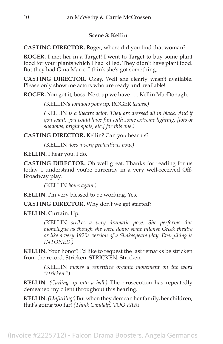#### **Scene 3: Kellin**

**CASTING DIRECTOR.** Roger, where did you find that woman?

**ROGER.** I met her in a Target! I went to Target to buy some plant food for your plants which I had killed. They didn't have plant food. But they had Gina Marie. I think she's got something.

**CASTING DIRECTOR.** Okay. Well she clearly wasn't available. Please only show me actors who are ready and available!

**ROGER.** You got it, boss. Next up we have . . . Kellin MacDonagh.

*(*KELLIN's *window pops up.* ROGER *leaves.)*

*(*KELLIN *is a theatre actor. They are dressed all in black. And if you want, you could have fun with some extreme lighting, [lots of shadows, bright spots, etc.] for this one.)*

**CASTING DIRECTOR.** Kellin? Can you hear us?

*(*KELLIN *does a very pretentious bow.)*

**KELLIN.** I hear you. I do.

**CASTING DIRECTOR.** Oh well great. Thanks for reading for us today. I understand you're currently in a very well-received Off-Broadway play.

*(*KELLIN *bows again.)*

**KELLIN.** I'm very blessed to be working. Yes.

**CASTING DIRECTOR.** Why don't we get started?

**KELLIN.** Curtain. Up.

*(*KELLIN *strikes a very dramatic pose. She performs this monologue as though she were doing some intense Greek theatre or like a very 1920s version of a Shakespeare play. Everything is INTONED.)*

**KELLIN.** Your honor? I'd like to request the last remarks be stricken from the record. Stricken. STRICKEN. Stricken.

> *(*KELLIN *makes a repetitive organic movement on the word "stricken.")*

**KELLIN.** *(Curling up into a ball:)* The prosecution has repeatedly demeaned my client throughout this hearing.

**KELLIN.** *(Unfurling:)* But when they demean her family, her children, that's going too far! *(Think Gandalf:) TOO FAR!*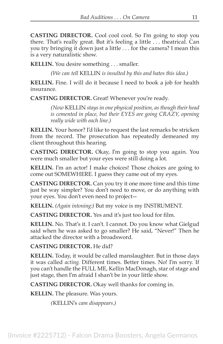**CASTING DIRECTOR.** Cool cool cool. So I'm going to stop you there. That's really great. But it's feeling a little . . . theatrical. Can you try bringing it down just a little . . . for the camera? I mean this is a very naturalistic show.

**KELLIN.** You desire something . . . smaller.

*(We can tell* KELLIN *is insulted by this and hates this idea.)*

**KELLIN.** Fine. I will do it because I need to book a job for health insurance.

**CASTING DIRECTOR.** Great! Whenever you're ready.

*(Now* KELLIN *stays in one physical position, as though their head is cemented in place, but their EYES are going CRAZY, opening really wide with each line.)*

**KELLIN.** Your honor? I'd like to request the last remarks be stricken from the record. The prosecution has repeatedly demeaned my client throughout this hearing.

**CASTING DIRECTOR.** Okay, I'm going to stop you again. You were much smaller but your eyes were still doing a lot.

**KELLIN.** I'm an actor! I make choices! Those choices are going to come out SOMEWHERE. I guess they came out of my eyes.

**CASTING DIRECTOR.** Can you try it one more time and this time just be way simpler? You don't need to move, or do anything with your eyes. You don't even need to project—

**KELLIN.** *(Again intoning:)* But my voice is my INSTRUMENT.

**CASTING DIRECTOR.** Yes and it's just too loud for film.

**KELLIN.** No. That's it. I can't. I cannot. Do you know what Gielgud said when he was asked to go smaller? He said, "Never!" Then he attacked the director with a broadsword.

#### **CASTING DIRECTOR.** He did?

**KELLIN.** Today, it would be called manslaughter. But in those days it was called *acting*. Different times. Better times. No! I'm sorry. If you can't handle the FULL ME, Kellin MacDonagh, star of stage and just stage, then I'm afraid I shan't be in your little show.

**CASTING DIRECTOR.** Okay well thanks for coming in.

**KELLIN.** The pleasure. Was yours.

*(*KELLIN's *cam disappears.)*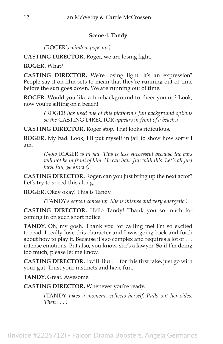#### **Scene 4: Tandy**

*(*ROGER's *window pops up.)*

**CASTING DIRECTOR.** Roger, we are losing light.

**ROGER.** What?

**CASTING DIRECTOR.** We're losing light. It's an expression? People say it on film sets to mean that they're running out of time before the sun goes down. We are running out of time.

**ROGER.** Would you like a fun background to cheer you up? Look, now you're sitting on a beach!

> *(*ROGER *has used one of this platform's fun background options so the* CASTING DIRECTOR *appears in front of a beach.)*

**CASTING DIRECTOR.** Roger stop. That looks ridiculous.

**ROGER.** My bad. Look, I'll put myself in jail to show how sorry I am.

> *(Now* ROGER *is in jail. This is less successful because the bars will not be in front of him. He can have fun with this. Let's all just have fun, ya know?)*

**CASTING DIRECTOR.** Roger, can you just bring up the next actor? Let's try to speed this along.

**ROGER.** Okay okay! This is Tandy.

*(*TANDY's *screen comes up. She is intense and very energetic.)*

**CASTING DIRECTOR.** Hello Tandy! Thank you so much for coming in on such short notice.

TANDY. Oh, my gosh. Thank you for calling me! I'm so excited to read. I really love this character and I was going back and forth about how to play it. Because it's so complex and requires a lot of . . . intense emotions. But also, you know, she's a lawyer. So if I'm doing too much, please let me know.

**CASTING DIRECTOR.** I will. But . . . for this first take, just go with your gut. Trust your instincts and have fun.

**TANDY.** Great. Awesome.

**CASTING DIRECTOR.** Whenever you're ready.

*(*TANDY *takes a moment, collects herself. Pulls out her sides. Then . . . )*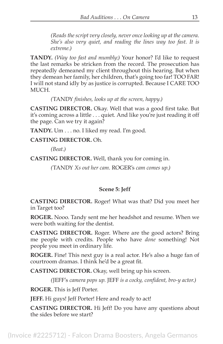*(Reads the script very closely, never once looking up at the camera. She's also very quiet, and reading the lines way too fast. It is extreme.)*

**TANDY.** *(Way too fast and mumbly:)* Your honor? I'd like to request the last remarks be stricken from the record. The prosecution has repeatedly demeaned my client throughout this hearing. But when they demean her family, her children, that's going too far! TOO FAR! I will not stand idly by as justice is corrupted. Because I CARE TOO MUCH.

*(*TANDY *finishes, looks up at the screen, happy.)*

**CASTING DIRECTOR.** Okay. Well that was a good first take. But it's coming across a little . . . quiet. And like you're just reading it off the page. Can we try it again?

**TANDY.** Um . . . no. I liked my read. I'm good.

#### **CASTING DIRECTOR.** Oh.

*(Beat.)*

**CASTING DIRECTOR.** Well, thank you for coming in.

*(*TANDY *Xs out her cam.* ROGER's *cam comes up.)*

#### **Scene 5: Jeff**

**CASTING DIRECTOR.** Roger! What was that? Did you meet her in Target too?

**ROGER.** Nooo. Tandy sent me her headshot and resume. When we were both waiting for the dentist.

**CASTING DIRECTOR.** Roger. Where are the good actors? Bring me people with credits. People who have *done* something! Not people you meet in ordinary life.

**ROGER.** Fine! This next guy is a real actor. He's also a huge fan of courtroom dramas. I think he'd be a great fit.

**CASTING DIRECTOR.** Okay, well bring up his screen.

*(*JEFF's *camera pops up.* JEFF *is a cocky, confident, bro-y actor.)*

**ROGER.** This is Jeff Porter.

JEFF. Hi guys! Jeff Porter! Here and ready to act!

**CASTING DIRECTOR.** Hi Jeff! Do you have any questions about the sides before we start?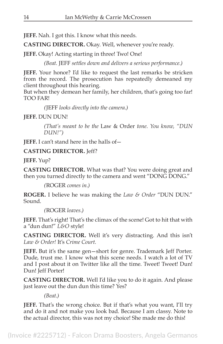**JEFF.** Nah. I got this. I know what this needs.

**CASTING DIRECTOR.** Okay. Well, whenever you're ready.

**JEFF.** Okay! Acting starting in three! Two! One!

*(Beat.* JEFF *settles down and delivers a serious performance.)*

**JEFF.** Your honor? I'd like to request the last remarks be stricken from the record. The prosecution has repeatedly demeaned my client throughout this hearing.

But when they demean her family, her children, that's going too far! TOO FAR!

*(*JEFF *looks directly into the camera.)*

**JEFF.** DUN DUN!

*(That's meant to be the* Law & Order *tone. You know, "DUN DUN!")*

**JEFF.** I can't stand here in the halls of—

#### **CASTING DIRECTOR.** Jeff?

**JEFF.** Yup?

**CASTING DIRECTOR.** What was that? You were doing great and then you turned directly to the camera and went "DONG DONG."

*(*ROGER *comes in.)*

**ROGER.** I believe he was making the *Law & Order* "DUN DUN." Sound.

*(*ROGER *leaves.)*

**JEFF.** That's right! That's the climax of the scene! Got to hit that with a "dun dun!" *L&O* style!

**CASTING DIRECTOR.** Well it's very distracting. And this isn't *Law & Order!* It's *Crime Court.*

**JEFF.** But it's the same gen—short for genre. Trademark Jeff Porter. Dude, trust me. I know what this scene needs. I watch a lot of TV and I post about it on Twitter like all the time. Tweet! Tweet! Dun! Dun! Jeff Porter!

**CASTING DIRECTOR.** Well I'd like you to do it again. And please just leave out the dun dun this time? Yes?

*(Beat.)*

**JEFF.** That's the wrong choice. But if that's what you want, I'll try and do it and not make you look bad. Because I am classy. Note to the actual director, this was not my choice! She made me do this!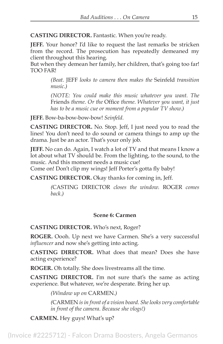**CASTING DIRECTOR.** Fantastic. When you're ready.

**JEFF.** Your honor? I'd like to request the last remarks be stricken from the record. The prosecution has repeatedly demeaned my client throughout this hearing.

But when they demean her family, her children, that's going too far! TOO FAR!

> *(Beat.* JEFF *looks to camera then makes the* Seinfeld *transition music.)*

> *(NOTE: You could make this music whatever you want. The*  Friends *theme. Or the* Office *theme. Whatever you want, it just has to be a music cue or moment from a popular TV show.)*

**JEFF.** Bow-ba-bow-bow-bow! *Seinfeld.*

**CASTING DIRECTOR.** No. Stop. Jeff, I just need you to read the lines! You don't need to do sound or camera things to amp up the drama. Just be an actor. That's your only job.

**JEFF.** No can do. Again, I watch a lot of TV and that means I know a lot about what TV should be. From the lighting, to the sound, to the music. And this moment needs a music cue!

Come on! Don't clip my wings! Jeff Porter's gotta fly baby!

**CASTING DIRECTOR.** Okay thanks for coming in, Jeff.

*(*CASTING DIRECTOR *closes the window.* ROGER *comes back.)*

#### **Scene 6: Carmen**

**CASTING DIRECTOR.** Who's next, Roger?

**ROGER.** Oooh. Up next we have Carmen. She's a very successful *influencer* and now she's getting into acting.

**CASTING DIRECTOR.** What does that mean? Does she have acting experience?

**ROGER.** Oh totally. She does livestreams all the time.

**CASTING DIRECTOR.** I'm not sure that's the same as acting experience. But whatever, we're desperate. Bring her up.

*(Window up on* CARMEN*.)*

*(*CARMEN *is in front of a vision board. She looks very comfortable in front of the camera. Because she vlogs!)*

**CARMEN.** Hey guys! What's up?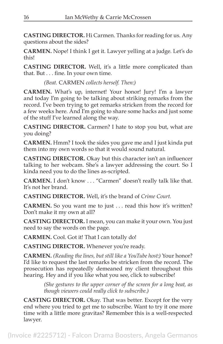**CASTING DIRECTOR.** Hi Carmen. Thanks for reading for us. Any questions about the sides?

**CARMEN.** Nope! I think I get it. Lawyer yelling at a judge. Let's do this!

**CASTING DIRECTOR.** Well, it's a little more complicated than that. But . . . fine. In your own time.

*(Beat.* CARMEN *collects herself. Then:)*

**CARMEN.** What's up, internet! Your honor! Jury! I'm a lawyer and today I'm going to be talking about striking remarks from the record. I've been trying to get remarks stricken from the record for a few weeks here. And I'm going to share some hacks and just some of the stuff I've learned along the way.

**CASTING DIRECTOR.** Carmen? I hate to stop you but, what are you doing?

**CARMEN.** Hmm? I took the sides you gave me and I just kinda put them into my own words so that it would sound natural.

**CASTING DIRECTOR.** Okay but this character isn't an influencer talking to her webcam. She's a lawyer addressing the court. So I kinda need you to do the lines as-scripted.

**CARMEN.** I don't know . . . "Carmen" doesn't really talk like that. It's not her brand.

**CASTING DIRECTOR.** Well, it's the brand of *Crime Court.*

**CARMEN.** So you want me to just . . . read this how it's written? Don't make it my own at all?

**CASTING DIRECTOR.** I mean, you can make it your own. You just need to say the words on the page.

**CARMEN.** Cool. Got it! That I can totally do!

**CASTING DIRECTOR.** Whenever you're ready.

**CARMEN.** *(Reading the lines, but still like a YouTube host:)* Your honor? I'd like to request the last remarks be stricken from the record. The prosecution has repeatedly demeaned my client throughout this hearing. Hey and if you like what you see, click to subscribe!

> *(She gestures to the upper corner of the screen for a long beat, as though viewers could really click to subscribe.)*

**CASTING DIRECTOR.** Okay. That was better. Except for the very end where you tried to get me to subscribe. Want to try it one more time with a little more gravitas? Remember this is a well-respected lawyer.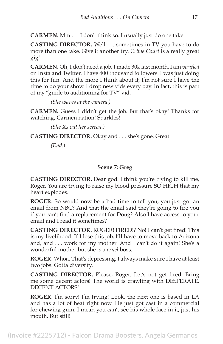**CARMEN.** Mm . . . I don't think so. I usually just do one take.

**CASTING DIRECTOR.** Well . . . sometimes in TV you have to do more than one take. Give it another try. *Crime Court* is a really great gig!

**CARMEN.** Oh, I don't need a job. I made 30k last month. I am *verified* on Insta and Twitter. I have 400 thousand followers. I was just doing this for fun. And the more I think about it, I'm not sure I have the time to do your show. I drop new vids every day. In fact, this is part of my "guide to auditioning for TV" vid.

*(She waves at the camera.)*

**CARMEN.** Guess I didn't get the job. But that's okay! Thanks for watching, Carmen nation! Sparkles!

*(She Xs out her screen.)*

**CASTING DIRECTOR.** Okay and . . . she's gone. Great.

*(End.)*

#### **Scene 7: Greg**

**CASTING DIRECTOR.** Dear god. I think you're trying to kill me, Roger. You are trying to raise my blood pressure SO HIGH that my heart explodes.

**ROGER.** So would now be a bad time to tell you, you just got an email from NBC? And that the email said they're going to fire you if you can't find a replacement for Doug? Also I have access to your email and I read it sometimes?

**CASTING DIRECTOR.** ROGER! FIRED!? No! I can't get fired! This is my livelihood. If I lose this job, I'll have to move back to Arizona and, and . . . work for my mother. And I can't do it again! She's a wonderful mother but she is a *cruel* boss.

**ROGER.** Whoa. That's depressing. I always make sure I have at least two jobs. Gotta diversify.

**CASTING DIRECTOR.** Please, Roger. Let's not get fired. Bring me some decent actors! The world is crawling with DESPERATE, DECENT ACTORS!

**ROGER.** I'm sorry! I'm trying! Look, the next one is based in LA and has a lot of heat right now. He just got cast in a commercial for chewing gum. I mean you can't see his whole face in it, just his mouth. But still!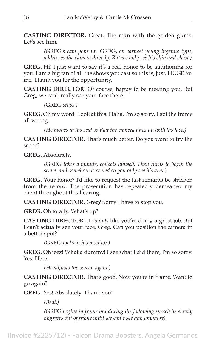**CASTING DIRECTOR.** Great. The man with the golden gums. Let's see him.

> *(*GREG's *cam pops up.* GREG, *an earnest young ingenue type, addresses the camera directly. But we only see his chin and chest.)*

**GREG.** Hi! I just want to say it's a real honor to be auditioning for you. I am a big fan of all the shows you cast so this is, just, HUGE for me. Thank you for the opportunity.

**CASTING DIRECTOR.** Of course, happy to be meeting you. But Greg, we can't really see your face there.

```
(GREG stops.)
```
**GREG.** Oh my word! Look at this. Haha. I'm so sorry. I got the frame all wrong.

*(He moves in his seat so that the camera lines up with his face.)*

**CASTING DIRECTOR.** That's much better. Do you want to try the scene?

**GREG.** Absolutely.

*(*GREG *takes a minute, collects himself. Then turns to begin the scene, and somehow is seated so you only see his arm.)*

**GREG.** Your honor? I'd like to request the last remarks be stricken from the record. The prosecution has repeatedly demeaned my client throughout this hearing.

**CASTING DIRECTOR.** Greg? Sorry I have to stop you.

**GREG.** Oh totally. What's up?

**CASTING DIRECTOR.** It *sounds* like you're doing a great job. But I can't actually see your face, Greg. Can you position the camera in a better spot?

*(*GREG *looks at his monitor.)* 

**GREG.** Oh jeez! What a dummy! I see what I did there, I'm so sorry. Yes. Here.

*(He adjusts the screen again.)*

**CASTING DIRECTOR.** That's good. Now you're in frame. Want to go again?

**GREG.** Yes! Absolutely. Thank you!

*(Beat.)*

*(*GREG *begins in frame but during the following speech he slowly migrates out of frame until we can't see him anymore).*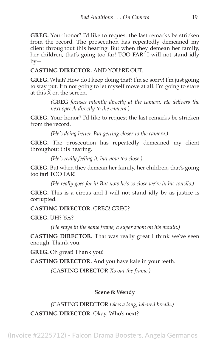**GREG.** Your honor? I'd like to request the last remarks be stricken from the record. The prosecution has repeatedly demeaned my client throughout this hearing. But when they demean her family, her children, that's going too far! TOO FAR! I will not stand idly by—

**CASTING DIRECTOR.** AND YOU'RE OUT.

**GREG.** What? How do I keep doing that? I'm so sorry! I'm just going to stay put. I'm not going to let myself move at all. I'm going to stare at this X on the screen.

> *(*GREG *focuses intently directly at the camera. He delivers the next speech directly to the camera.)*

**GREG.** Your honor? I'd like to request the last remarks be stricken from the record.

*(He's doing better. But getting closer to the camera.)*

**GREG.** The prosecution has repeatedly demeaned my client throughout this hearing.

*(He's really feeling it, but now too close.)*

**GREG.** But when they demean her family, her children, that's going too far! TOO FAR!

*(He really goes for it! But now he's so close we're in his tonsils.)*

**GREG.** This is a circus and I will not stand idly by as justice is corrupted.

#### **CASTING DIRECTOR.** GREG! GREG?

**GREG.** UH? Yes?

*(He stays in the same frame, a super zoom on his mouth.)*

**CASTING DIRECTOR.** That was really great I think we've seen enough. Thank you.

**GREG.** Oh great! Thank you!

**CASTING DIRECTOR.** And you have kale in your teeth.

*(*CASTING DIRECTOR *Xs out the frame.)*

#### **Scene 8: Wendy**

*(*CASTING DIRECTOR *takes a long, labored breath.)* **CASTING DIRECTOR.** Okay. Who's next?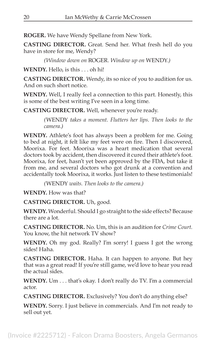**ROGER.** We have Wendy Spellane from New York.

**CASTING DIRECTOR.** Great. Send her. What fresh hell do you have in store for me, Wendy?

*(Window down on* ROGER*. Window up on* WENDY*.)*

**WENDY.** Hello, is this . . . oh hi!

**CASTING DIRECTOR.** Wendy, its so nice of you to audition for us. And on such short notice.

**WENDY.** Well, I really feel a connection to this part. Honestly, this is some of the best writing I've seen in a long time.

**CASTING DIRECTOR.** Well, whenever you're ready.

*(*WENDY *takes a moment. Flutters her lips. Then looks to the camera.)*

**WENDY.** Athlete's foot has always been a problem for me. Going to bed at night, it felt like my feet were on fire. Then I discovered, Moorixa. For feet. Moorixa was a heart medication that several doctors took by accident, then discovered it cured their athlete's foot. Moorixa, for feet, hasn't yet been approved by the FDA, but take it from me, and several doctors who got drunk at a convention and accidentally took Moorixa, it works. Just listen to these testimonials!

*(*WENDY *waits. Then looks to the camera.)*

**WENDY.** How was that?

**CASTING DIRECTOR.** Uh, good.

**WENDY.** Wonderful. Should I go straight to the side effects? Because there are a lot.

**CASTING DIRECTOR.** No. Um, this is an audition for *Crime Court.* You know, the hit network TV show?

**WENDY.** Oh my god. Really? I'm sorry! I guess I got the wrong sides! Haha.

**CASTING DIRECTOR.** Haha. It can happen to anyone. But hey that was a great read! If you're still game, we'd love to hear you read the actual sides.

**WENDY.** Um . . . that's okay. I don't really do TV. I'm a commercial actor.

**CASTING DIRECTOR.** Exclusively? You don't do anything else?

**WENDY.** Sorry. I just believe in commercials. And I'm not ready to sell out yet.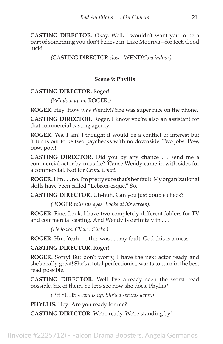**CASTING DIRECTOR.** Okay. Well, I wouldn't want you to be a part of something you don't believe in. Like Moorixa—for feet. Good luck!

*(*CASTING DIRECTOR *closes* WENDY's *window.)*

#### **Scene 9: Phyllis**

#### **CASTING DIRECTOR.** Roger!

*(Window up on* ROGER*.)*

**ROGER.** Hey! How was Wendy!? She was super nice on the phone.

**CASTING DIRECTOR.** Roger, I know you're also an assistant for that commercial casting agency.

**ROGER.** Yes. I am! I thought it would be a conflict of interest but it turns out to be two paychecks with no downside. Two jobs! Pow, pow, pow!

**CASTING DIRECTOR.** Did you by any chance . . . send me a commercial actor by mistake? 'Cause Wendy came in with sides for a commercial. Not for *Crime Court.*

**ROGER.** Hm . . . no. I'm pretty sure that's her fault. My organizational skills have been called "Lebron-esque." So.

**CASTING DIRECTOR.** Uh-huh. Can you just double check?

*(*ROGER *rolls his eyes. Looks at his screen).*

**ROGER.** Fine. Look. I have two completely different folders for TV and commercial casting. And Wendy is definitely in . . .

*(He looks. Clicks. Clicks.)*

**ROGER.** Hm. Yeah . . . this was . . . my fault. God this is a mess.

**CASTING DIRECTOR.** Roger!

**ROGER.** Sorry! But don't worry, I have the next actor ready and she's really great! She's a total perfectionist, wants to turn in the best read possible.

**CASTING DIRECTOR.** Well I've already seen the worst read possible. Six of them. So let's see how she does. Phyllis?

*(*PHYLLIS's *cam is up. She's a serious actor.)*

**PHYLLIS.** Hey! Are you ready for me?

**CASTING DIRECTOR.** We're ready. We're standing by!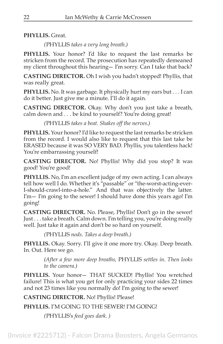**PHYLLIS.** Great.

*(*PHYLLIS *takes a very long breath.)*

**PHYLLIS.** Your honor? I'd like to request the last remarks be stricken from the record. The prosecution has repeatedly demeaned my client throughout this hearing— I'm sorry. Can I take that back?

**CASTING DIRECTOR.** Oh I wish you hadn't stopped! Phyllis, that was really great.

**PHYLLIS.** No. It was garbage. It physically hurt my ears but . . . I can do it better. Just give me a minute. I'll do it again.

**CASTING DIRECTOR.** Okay. Why don't you just take a breath, calm down and . . . be kind to yourself? You're doing great!

*(*PHYLLIS *takes a beat. Shakes off the nerves.)*

**PHYLLIS.** Your honor? I'd like to request the last remarks be stricken from the record. I would also like to request that this last take be ERASED because it was SO VERY BAD. Phyllis, you talentless hack! You're embarrassing yourself!

**CASTING DIRECTOR.** No! Phyllis! Why did you stop? It was good! You're good!

**PHYLLIS.** No, I'm an excellent judge of my own acting. I can always tell how well I do. Whether it's "passable" or "the-worst-acting-ever-I-should-crawl-into-a-hole." And that was objectively the latter. I'm— I'm going to the sewer! I should have done this years ago! I'm going!

**CASTING DIRECTOR.** No. Please, Phyllis! Don't go in the sewer! Just . . . take a breath. Calm down. I'm telling you, you're doing really well. Just take it again and don't be so hard on yourself.

*(*PHYLLIS *nods. Takes a deep breath.)*

**PHYLLIS.** Okay. Sorry. I'll give it one more try. Okay. Deep breath. In. Out. Here we go.

> *(After a few more deep breaths,* PHYLLIS *settles in. Then looks to the camera.)*

**PHYLLIS.** Your honor— THAT SUCKED! Phyllis! You wretched failure! This is what you get for only practicing your sides 22 times and not 23 times like you normally do! I'm going to the sewer!

**CASTING DIRECTOR.** No! Phyllis! Please!

**PHYLLIS.** I'M GOING TO THE SEWER! I'M GOING!

*(*PHYLLIS's *feed goes dark. )*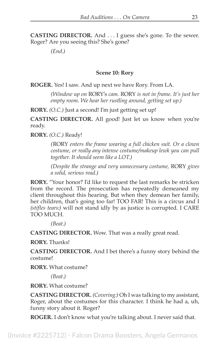**CASTING DIRECTOR.** And . . . I guess she's gone. To the sewer. Roger? Are you seeing this? She's gone?

*(End.)*

#### **Scene 10: Rory**

**ROGER.** Yes! I saw. And up next we have Rory. From LA.

*(Window up on* RORY's *cam.* RORY *is not in frame. It's just her empty room. We hear her rustling around, getting set up.)*

**RORY.** *(O.C.)* Just a second! I'm just getting set up!

**CASTING DIRECTOR.** All good! Just let us know when you're ready.

**RORY.** *(O.C.)* Ready!

*(*RORY *enters the frame wearing a full chicken suit. Or a clown costume, or really any intense costume/makeup lewk you can pull together. It should seem like a LOT.)*

*(Despite the strange and very unnecessary costume,* RORY *gives a solid, serious read.)*

**RORY.** "Your honor? I'd like to request the last remarks be stricken from the record. The prosecution has repeatedly demeaned my client throughout this hearing. But when they demean her family, her children, that's going too far! TOO FAR! This is a circus and I *(stifles tears:)* will not stand idly by as justice is corrupted. I CARE TOO MUCH.

*(Beat.)*

**CASTING DIRECTOR.** Wow. That was a really great read.

**RORY.** Thanks!

**CASTING DIRECTOR.** And I bet there's a funny story behind the costume!

**RORY.** What costume?

*(Beat.)*

**RORY.** What costume?

**CASTING DIRECTOR.** *(Covering:)* Oh I was talking to my assistant, Roger, about the costumes for this character. I think he had a, uh, funny story about it. Roger?

**ROGER.** I don't know what you're talking about. I never said that.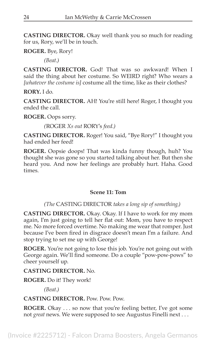**CASTING DIRECTOR.** Okay well thank you so much for reading for us, Rory, we'll be in touch.

**ROGER.** Bye, Rory!

*(Beat.)*

**CASTING DIRECTOR.** God! That was so awkward! When I said the thing about her costume. So WEIRD right? Who wears a *[whatever the costume is]* costume all the time, like as their clothes?

**RORY.** I do.

**CASTING DIRECTOR.** AH! You're still here! Roger, I thought you ended the call.

**ROGER.** Oops sorry.

*(*ROGER *Xs out* RORY's *feed.)*

**CASTING DIRECTOR.** Roger! You said, "Bye Rory!" I thought you had ended her feed!

**ROGER.** Oopsie doops! That was kinda funny though, huh? You thought she was gone so you started talking about her. But then she heard you. And now her feelings are probably hurt. Haha. Good times.

#### **Scene 11: Tom**

*(The* CASTING DIRECTOR *takes a long sip of something.)*

**CASTING DIRECTOR.** Okay. Okay. If I have to work for my mom again, I'm just going to tell her flat out: Mom, you have to respect me. No more forced overtime. No making me wear that romper. Just because I've been fired in disgrace doesn't mean I'm a failure. And stop trying to set me up with George!

**ROGER.** You're not going to lose this job. You're not going out with George again. We'll find someone. Do a couple "pow-pow-pows" to cheer yourself up.

#### **CASTING DIRECTOR.** No.

**ROGER.** Do it! They work!

*(Beat.)*

**CASTING DIRECTOR.** Pow. Pow. Pow.

**ROGER.** Okay . . . so now that you're feeling better, I've got some not *great* news. We were supposed to see Augustus Finelli next . . .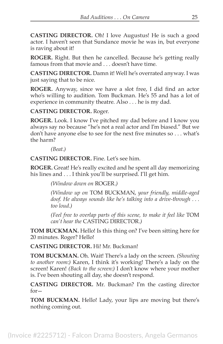**CASTING DIRECTOR.** Oh! I love Augustus! He is such a good actor. I haven't seen that Sundance movie he was in, but everyone is raving about it!

**ROGER.** Right. But then he cancelled. Because he's getting really famous from that movie and . . . doesn't have time.

**CASTING DIRECTOR.** Damn it! Well he's overrated anyway. I was just saying that to be nice.

**ROGER.** Anyway, since we have a slot free, I did find an actor who's willing to audition. Tom Buckman. He's 55 and has a lot of experience in community theatre. Also . . . he is my dad.

**CASTING DIRECTOR.** Roger.

**ROGER.** Look. I know I've pitched my dad before and I know you always say no because "he's not a real actor and I'm biased." But we don't have anyone else to see for the next five minutes so . . . what's the harm?

*(Beat.)*

**CASTING DIRECTOR.** Fine. Let's see him.

**ROGER.** Great! He's really excited and he spent all day memorizing his lines and . . . I think you'll be surprised. I'll get him.

*(Window down on* ROGER*.)*

*(Window up on* TOM BUCKMAN, *your friendly, middle-aged doof. He always sounds like he's talking into a drive-through . . . too loud.)*

*(Feel free to overlap parts of this scene, to make it feel like* TOM *can't hear the* CASTING DIRECTOR*.)*

**TOM BUCKMAN.** Hello! Is this thing on? I've been sitting here for 20 minutes. Roger? Hello!

**CASTING DIRECTOR.** Hi! Mr. Buckman!

**TOM BUCKMAN.** Oh. Wait! There's a lady on the screen. *(Shouting to another room:)* Karen, I think it's working! There's a lady on the screen! Karen! *(Back to the screen:)* I don't know where your mother is. I've been shouting all day, she doesn't respond.

**CASTING DIRECTOR.** Mr. Buckman? I'm the casting director for—

**TOM BUCKMAN.** Hello! Lady, your lips are moving but there's nothing coming out.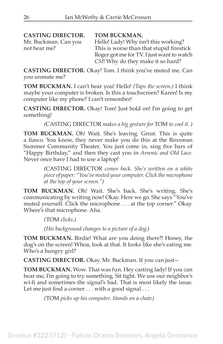| <b>CASTING DIRECTOR.</b> | <b>TOM BUCKMAN.</b>                       |
|--------------------------|-------------------------------------------|
| Mr. Buckman. Can you     | Hello! Lady! Why isn't this working?      |
| not hear me?             | This is worse than that stupid firestick  |
|                          | Roger got me for TV. I just want to watch |
|                          | CSI! Why do they make it so hard?         |

**CASTING DIRECTOR.** Okay! Tom. I think you've muted me. Can you unmute me?

**TOM BUCKMAN.** I can't hear you! Hello! *(Taps the screen.)* I think maybe your computer is broken. Is this a touchscreen? Karen! Is my computer like my phone? I can't remember!

**CASTING DIRECTOR.** Okay! Tom! Just hold on! I'm going to get something!

*(*CASTING DIRECTOR *makes a big gesture for* TOM *to cool it. )*

**TOM BUCKMAN.** Oh! Wait. She's leaving. Great. This is quite a fiasco. You know, they never make you do this at the Roxsman Summer Community Theater. You just come in, sing five bars of "Happy Birthday," and then they cast you in *Arsenic and Old Lace.* Never once have I had to use a laptop!

> *(*CASTING DIRECTOR *comes back. She's written on a white piece of paper: "You've muted your computer. Click the microphone at the top of your screen.")*

**TOM BUCKMAN.** Oh! Wait. She's back. She's writing. She's communicating by writing now! Okay. Here we go. She says "You've muted yourself. Click the microphone . . . at the top corner." Okay. Where's that microphone. Aha.

*(*TOM *clicks.)*

*(His background changes to a picture of a dog.)*

**TOM BUCKMAN.** Birdie! What are you doing there?! Honey, the dog's on the screen! Whoa, look at that. It looks like she's eating me. Who's a hungry girl?

**CASTING DIRECTOR.** Okay. Mr. Buckman. If you can just—

**TOM BUCKMAN.** Wow. That was fun. Hey casting lady! If you can hear me, I'm going to try something. Sit tight. We use our neighbor's wi-fi and sometimes the signal's bad. That is most likely the issue. Let me just find a corner . . . with a good signal . . .

*(*TOM *picks up his computer. Stands on a chair.)*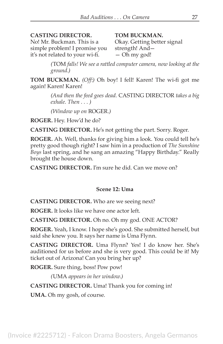#### **CASTING DIRECTOR. TOM BUCKMAN.**

No! Mr. Buckman. This is a Okay. Getting better signal simple problem! I promise you strength! And it's not related to your wi-fi. — Oh my god!

*(*TOM *falls! We see a rattled computer camera, now looking at the ground.)*

**TOM BUCKMAN.** *(Off:)* Oh boy! I fell! Karen! The wi-fi got me again! Karen! Karen!

> *(And then the feed goes dead.* CASTING DIRECTOR *takes a big exhale. Then . . . )*

*(Window up on* ROGER*.)*

**ROGER.** Hey. How'd he do?

**CASTING DIRECTOR.** He's not getting the part. Sorry. Roger.

**ROGER.** Ah. Well, thanks for giving him a look. You could tell he's pretty good though right? I saw him in a production of *The Sunshine Boys* last spring, and he sang an amazing "Happy Birthday." Really brought the house down.

**CASTING DIRECTOR.** I'm sure he did. Can we move on?

#### **Scene 12: Uma**

**CASTING DIRECTOR.** Who are we seeing next?

**ROGER.** It looks like we have one actor left.

**CASTING DIRECTOR.** Oh no. Oh my god. ONE ACTOR?

**ROGER.** Yeah, I know. I hope she's good. She submitted herself, but said she knew you. It says her name is Uma Flynn.

**CASTING DIRECTOR.** Uma Flynn? Yes! I do know her. She's auditioned for us before and she is very good. This could be it! My ticket out of Arizona! Can you bring her up?

**ROGER.** Sure thing, boss! Pow pow!

*(*UMA *appears in her window.)*

**CASTING DIRECTOR.** Uma! Thank you for coming in!

**UMA.** Oh my gosh, of course.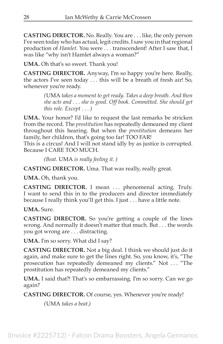**CASTING DIRECTOR.** No. Really. You are . . . like, the only person I've seen today who has actual, legit credits. I saw you in that regional production of *Hamlet.* You were . . . transcendent! After I saw that, I was like "why isn't Hamlet always a woman?"

**UMA.** Oh that's so sweet. Thank you!

**CASTING DIRECTOR.** Anyway, I'm so happy you're here. Really, the actors I've seen today . . . this will be a breath of fresh air! So, whenever you're ready.

> *(*UMA *takes a moment to get ready. Takes a deep breath. And then she acts and . . . she is good. Off book. Committed. She should get this role. Except . . . )*

**UMA.** Your honor? I'd like to request the last remarks be stricken from the record. The *prostitution* has repeatedly demeaned my client throughout this hearing. But when the *prostitution* demeans her family, her children, that's going too far! TOO FAR!

This is a circus! And I will not stand idly by as justice is corrupted. Because I CARE TOO MUCH.

*(Beat.* UMA *is really feeling it. )*

**CASTING DIRECTOR.** Uma. That was really, really great.

**UMA.** Oh, thank you.

CASTING DIRECTOR. I mean ... phenomenal acting. Truly. I want to send this in to the producers and director immediately because I really think you'll get this. I just . . . have a little note.

**UMA.** Sure.

**CASTING DIRECTOR.** So you're getting a couple of the lines wrong. And normally it doesn't matter that much. But . . . the words you got wrong are . . . distracting.

**UMA.** I'm so sorry. What did I say?

**CASTING DIRECTOR.** Not a big deal. I think we should just do it again, and make sure to get the lines right. So, you know, it's, "The prosecution has repeatedly demeaned my clients." Not . . . "The prostitution has repeatedly demeaned my clients."

**UMA.** I said that?! That's so embarrassing. I'm so sorry. Can we go again?

**CASTING DIRECTOR.** Of course, yes. Whenever you're ready!

*(*UMA *takes a beat.)*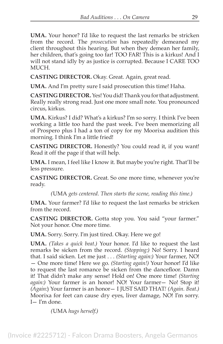**UMA.** Your honor? I'd like to request the last remarks be stricken from the record. The *prosecution* has repeatedly demeaned my client throughout this hearing. But when they demean her family, her children, that's going too far! TOO FAR! This is a kirkus! And I will not stand idly by as justice is corrupted. Because I CARE TOO MUCH.

**CASTING DIRECTOR.** Okay. Great. Again, great read.

**UMA.** And I'm pretty sure I said prosecution this time! Haha.

**CASTING DIRECTOR.** Yes! You did! Thank you for that adjustment. Really really strong read. Just one more small note. You pronounced circus, kirkus.

**UMA.** Kirkus? I did? What's a kirkus? I'm so sorry. I think I've been working a little too hard the past week. I've been memorizing all of Prospero plus I had a ton of copy for my Moorixa audition this morning. I think I'm a little fried!

**CASTING DIRECTOR.** Honestly? You could read it, if you want! Read it off the page if that will help.

**UMA.** I mean, I feel like I know it. But maybe you're right. That'll be less pressure.

**CASTING DIRECTOR.** Great. So one more time, whenever you're ready.

*(*UMA *gets centered. Then starts the scene, reading this time.)*

**UMA.** Your farmer? I'd like to request the last remarks be stricken from the record.

**CASTING DIRECTOR.** Gotta stop you. You said "your farmer." Not your honor. One more time.

**UMA.** Sorry. Sorry. I'm just tired. Okay. Here we go!

**UMA.** *(Takes a quick beat.)* Your honor. I'd like to request the last remarks be sicken from the record. *(Stopping:)* No! Sorry. I heard that. I said sicken. Let me just . . . *(Starting again:)* Your farmer, NO! — One more time! Here we go. *(Starting again!)* Your honor! I'd like to request the last romance be sicken from the dancefloor. Damn it! That didn't make any sense! Hold on! One more time! *(Starting again:)* Your farmer is an honor! NO! Your farmer— No! Stop it! *(Again:*) Your farmer is an honor— I JUST SAID THAT*! (Again. Beat.)*  Moorixa for feet can cause dry eyes, liver damage, NO! I'm sorry.  $I - I'm$  done.

*(*UMA *hugs herself.)*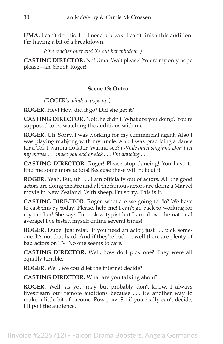**UMA.** I can't do this. I— I need a break. I can't finish this audition. I'm having a bit of a breakdown.

*(She reaches over and Xs out her window. )*

**CASTING DIRECTOR.** No! Uma! Wait please! You're my only hope please—ah. Shoot. Roger!

#### **Scene 13: Outro**

*(*ROGER's *window pops up.)*

**ROGER.** Hey! How did it go? Did she get it?

**CASTING DIRECTOR.** No! She didn't. What are you doing? You're supposed to be watching the auditions with me.

**ROGER.** Uh. Sorry. I was working for my commercial agent. Also I was playing mahjong with my uncle. And I was practicing a dance for a Tok I wanna do later. Wanna see? *(While quiet singing:) Don't let my moves . . . make you sad or sick . . . I'm dancing . . .* 

**CASTING DIRECTOR.** Roger! Please stop dancing! You have to find me some more actors! Because these will not cut it.

**ROGER.** Yeah. But, uh . . . I am officially out of actors. All the good actors are doing theatre and all the famous actors are doing a Marvel movie in New Zealand. With sheep. I'm sorry. This is it.

**CASTING DIRECTOR.** Roger, what are we going to do? We have to cast this by today! Please, help me! I can't go back to working for my mother! She says I'm a slow typist but I am above the national average! I've tested myself online several times!

**ROGER.** Dude! Just relax. If you need an actor, just . . . pick someone. It's not that hard. And if they're bad . . . well there are plenty of bad actors on TV. No one seems to care.

**CASTING DIRECTOR.** Well, how do I pick one? They were all equally terrible.

**ROGER.** Well, we could let the internet decide?

**CASTING DIRECTOR.** What are you talking about?

**ROGER.** Well, as you may but probably don't know, I always livestream our remote auditions because . . . it's another way to make a little bit of income. Pow-pow! So if you really can't decide, I'll poll the audience.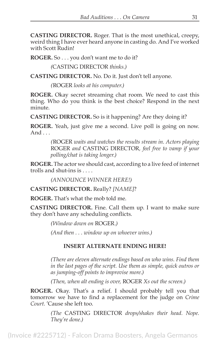**CASTING DIRECTOR.** Roger. That is the most unethical, creepy, weird thing I have ever heard anyone in casting do. And I've worked with Scott Rudin!

**ROGER.** So . . . you don't want me to do it?

*(*CASTING DIRECTOR *thinks.)*

**CASTING DIRECTOR.** No. Do it. Just don't tell anyone.

*(*ROGER *looks at his computer.)*

**ROGER.** Okay secret streaming chat room. We need to cast this thing. Who do you think is the best choice? Respond in the next minute.

**CASTING DIRECTOR.** So is it happening? Are they doing it?

**ROGER.** Yeah, just give me a second. Live poll is going on now. And . . .

> *(*ROGER *waits and watches the results stream in. Actors playing*  ROGER *and* CASTING DIRECTOR*, feel free to vamp if your polling/chat is taking longer.)*

**ROGER.** The actor we should cast, according to a live feed of internet trolls and shut-ins is . . . .

*(ANNOUNCE WINNER HERE!)*

**CASTING DIRECTOR.** Really? *[NAME]*?

**ROGER.** That's what the mob told me.

**CASTING DIRECTOR.** Fine. Call them up. I want to make sure they don't have any scheduling conflicts.

*(Window down on* ROGER*.)*

*(And then . . . window up on whoever wins.)*

#### **INSERT ALTERNATE ENDING HERE!**

*(There are eleven alternate endings based on who wins. Find them in the last pages of the script. Use them as simple, quick outros or as jumping-off points to improvise more.)*

*(Then, when alt ending is over,* ROGER *Xs out the screen.)*

**ROGER.** Okay. That's a relief. I should probably tell you that tomorrow we have to find a replacement for the judge on *Crime Court.* 'Cause she left too.

> *(The* CASTING DIRECTOR *drops/shakes their head. Nope. They're done.)*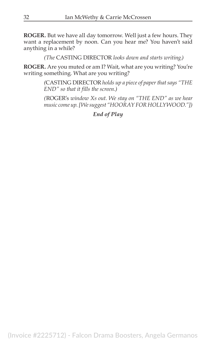**ROGER.** But we have all day tomorrow. Well just a few hours. They want a replacement by noon. Can you hear me? You haven't said anything in a while?

*(The* CASTING DIRECTOR *looks down and starts writing.)*

**ROGER.** Are you muted or am I? Wait, what are you writing? You're writing something. What are you writing?

> *(*CASTING DIRECTOR *holds up a piece of paper that says "THE END" so that it fills the screen.)*

> *(*ROGER's *window Xs out. We stay on "THE END" as we hear music come up. [We suggest "HOORAY FOR HOLLYWOOD."])*

> > *End of Play*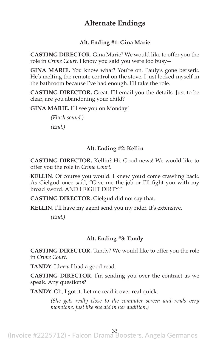#### **Alternate Endings**

#### **Alt. Ending #1: Gina Marie**

**CASTING DIRECTOR.** Gina Marie? We would like to offer you the role in *Crime Court.* I know you said you were too busy—

**GINA MARIE.** You know what? You're on. Pauly's gone berserk. He's melting the remote control on the stove. I just locked myself in the bathroom because I've had enough. I'll take the role.

**CASTING DIRECTOR.** Great. I'll email you the details. Just to be clear, are you abandoning your child?

**GINA MARIE.** I'll see you on Monday!

*(Flush sound.) (End.)*

#### **Alt. Ending #2: Kellin**

**CASTING DIRECTOR.** Kellin? Hi. Good news! We would like to offer you the role in *Crime Court.*

**KELLIN.** Of course you would. I knew you'd come crawling back. As Gielgud once said, "Give me the job or I'll fight you with my broad sword. AND I FIGHT DIRTY."

**CASTING DIRECTOR.** Gielgud did not say that.

**KELLIN.** I'll have my agent send you my rider. It's extensive.

*(End.)*

#### **Alt. Ending #3: Tandy**

**CASTING DIRECTOR.** Tandy? We would like to offer you the role in *Crime Court.*

**TANDY.** I *knew* I had a good read.

**CASTING DIRECTOR.** I'm sending you over the contract as we speak. Any questions?

**TANDY.** Oh, I got it. Let me read it over real quick.

*(She gets really close to the computer screen and reads very monotone, just like she did in her audition.)*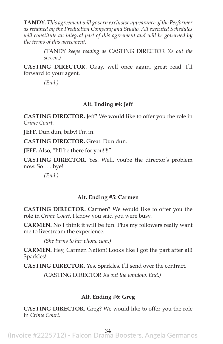**TANDY.** *This agreement will govern exclusive appearance of the Performer as retained by the Production Company and Studio. All executed Schedules*  will constitute an integral part of this agreement and will be governed by *the terms of this agreement.*

> *(*TANDY *keeps reading as* CASTING DIRECTOR *Xs out the screen.)*

**CASTING DIRECTOR.** Okay, well once again, great read. I'll forward to your agent.

*(End.)*

#### **Alt. Ending #4: Jeff**

**CASTING DIRECTOR.** Jeff? We would like to offer you the role in *Crime Court.*

**JEFF.** Dun dun, baby! I'm in.

**CASTING DIRECTOR.** Great. Dun dun.

JEFF. Also, "I'll be there for you!!!!"

**CASTING DIRECTOR.** Yes. Well, you're the director's problem now. So . . . bye!

*(End.)*

#### **Alt. Ending #5: Carmen**

**CASTING DIRECTOR.** Carmen? We would like to offer you the role in *Crime Court.* I know you said you were busy.

**CARMEN.** No I think it will be fun. Plus my followers really want me to livestream the experience.

*(She turns to her phone cam.)*

**CARMEN.** Hey, Carmen Nation! Looks like I got the part after all! Sparkles!

**CASTING DIRECTOR.** Yes. Sparkles. I'll send over the contract.

*(*CASTING DIRECTOR *Xs out the window. End.)*

#### **Alt. Ending #6: Greg**

**CASTING DIRECTOR.** Greg? We would like to offer you the role in *Crime Court.*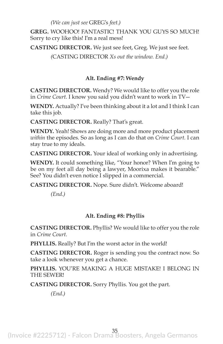#### *(We can just see* GREG's *feet.)*

**GREG.** WOOHOO! FANTASTIC! THANK YOU GUYS SO MUCH! Sorry to cry like this! I'm a real mess!

**CASTING DIRECTOR.** We just see feet, Greg. We just see feet.

*(*CASTING DIRECTOR *Xs out the window. End.)*

#### **Alt. Ending #7: Wendy**

**CASTING DIRECTOR.** Wendy? We would like to offer you the role in *Crime Court.* I know you said you didn't want to work in TV—

**WENDY.** Actually? I've been thinking about it a lot and I think I can take this job.

**CASTING DIRECTOR.** Really? That's great.

**WENDY.** Yeah! Shows are doing more and more product placement *within* the episodes. So as long as I can do that on *Crime Court.* I can stay true to my ideals.

**CASTING DIRECTOR.** Your ideal of working only in advertising.

**WENDY.** It could something like, "Your honor? When I'm going to be on my feet all day being a lawyer, Moorixa makes it bearable." See? You didn't even notice I slipped in a commercial.

**CASTING DIRECTOR.** Nope. Sure didn't. Welcome aboard!

*(End.)*

#### **Alt. Ending #8: Phyllis**

**CASTING DIRECTOR.** Phyllis? We would like to offer you the role in *Crime Court.*

**PHYLLIS.** Really? But I'm the worst actor in the world!

**CASTING DIRECTOR.** Roger is sending you the contract now. So take a look whenever you get a chance.

**PHYLLIS.** YOU'RE MAKING A HUGE MISTAKE! I BELONG IN THE SEWER!

**CASTING DIRECTOR.** Sorry Phyllis. You got the part.

*(End.)*